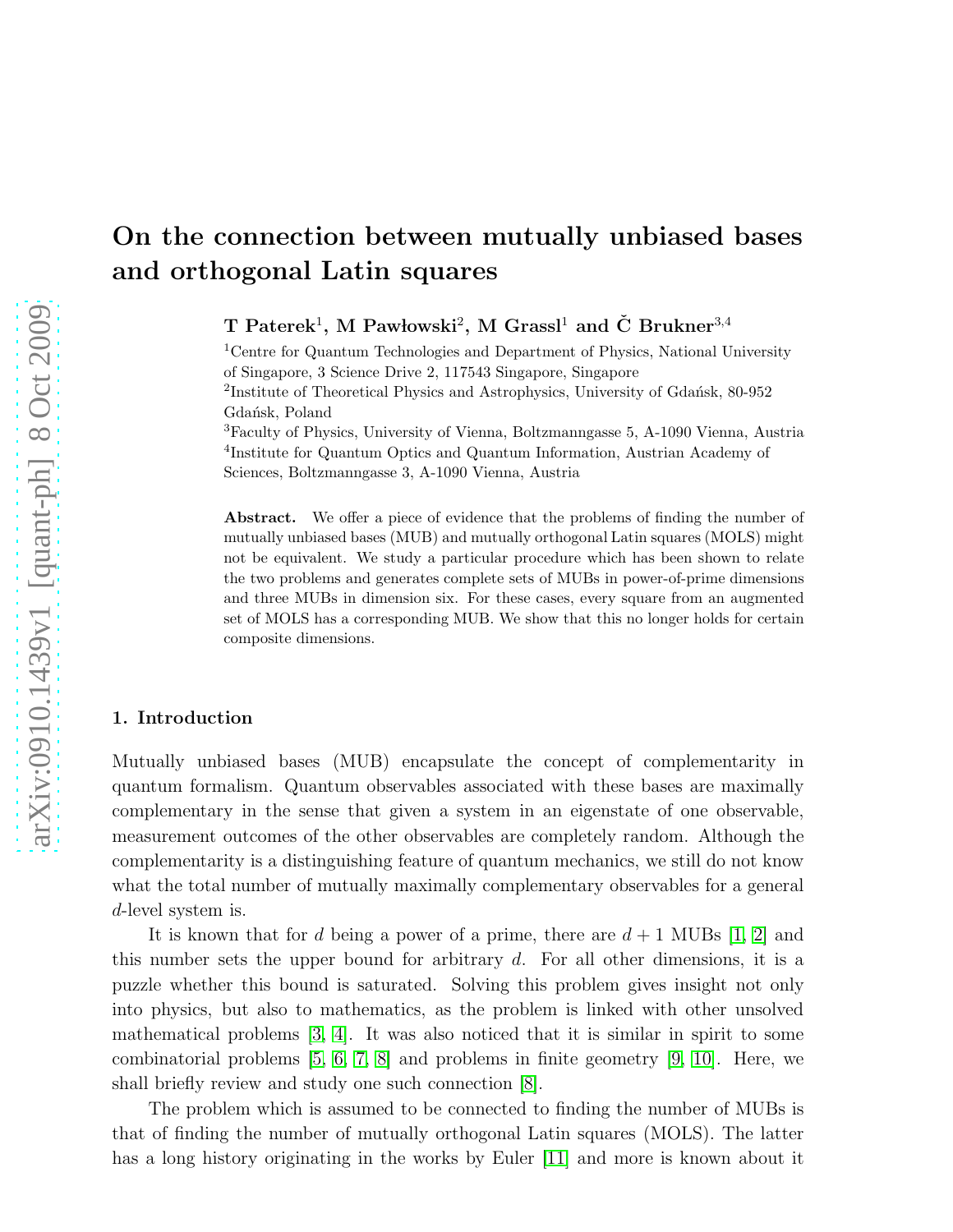# On the connection between mutually unbiased bases and orthogonal Latin squares

T Paterek<sup>1</sup>, M Pawłowski<sup>2</sup>, M Grassl<sup>1</sup> and Č Brukner<sup>3,4</sup>

<sup>1</sup>Centre for Quantum Technologies and Department of Physics, National University of Singapore, 3 Science Drive 2, 117543 Singapore, Singapore <sup>2</sup>Institute of Theoretical Physics and Astrophysics, University of Gdańsk, 80-952 Gdańsk, Poland <sup>3</sup>Faculty of Physics, University of Vienna, Boltzmanngasse 5, A-1090 Vienna, Austria

4 Institute for Quantum Optics and Quantum Information, Austrian Academy of Sciences, Boltzmanngasse 3, A-1090 Vienna, Austria

Abstract. We offer a piece of evidence that the problems of finding the number of mutually unbiased bases (MUB) and mutually orthogonal Latin squares (MOLS) might not be equivalent. We study a particular procedure which has been shown to relate the two problems and generates complete sets of MUBs in power-of-prime dimensions and three MUBs in dimension six. For these cases, every square from an augmented set of MOLS has a corresponding MUB. We show that this no longer holds for certain composite dimensions.

## 1. Introduction

Mutually unbiased bases (MUB) encapsulate the concept of complementarity in quantum formalism. Quantum observables associated with these bases are maximally complementary in the sense that given a system in an eigenstate of one observable, measurement outcomes of the other observables are completely random. Although the complementarity is a distinguishing feature of quantum mechanics, we still do not know what the total number of mutually maximally complementary observables for a general d-level system is.

It is known that for d being a power of a prime, there are  $d+1$  MUBs [\[1,](#page-4-0) [2\]](#page-4-1) and this number sets the upper bound for arbitrary  $d$ . For all other dimensions, it is a puzzle whether this bound is saturated. Solving this problem gives insight not only into physics, but also to mathematics, as the problem is linked with other unsolved mathematical problems [\[3,](#page-4-2) [4\]](#page-4-3). It was also noticed that it is similar in spirit to some combinatorial problems [\[5,](#page-4-4) [6,](#page-4-5) [7,](#page-4-6) [8\]](#page-4-7) and problems in finite geometry [\[9,](#page-4-8) [10\]](#page-4-9). Here, we shall briefly review and study one such connection [\[8\]](#page-4-7).

The problem which is assumed to be connected to finding the number of MUBs is that of finding the number of mutually orthogonal Latin squares (MOLS). The latter has a long history originating in the works by Euler [\[11\]](#page-4-10) and more is known about it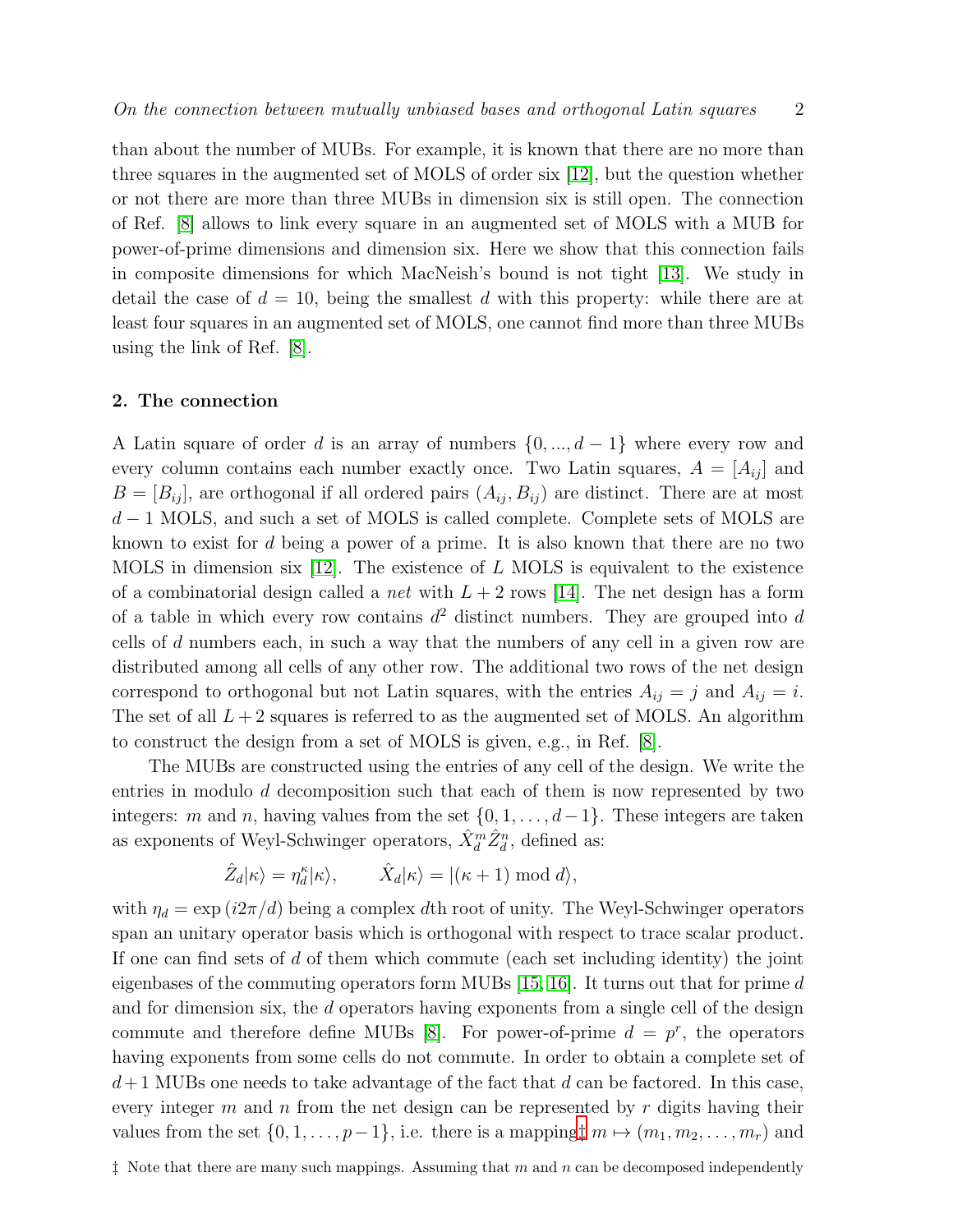than about the number of MUBs. For example, it is known that there are no more than three squares in the augmented set of MOLS of order six [\[12\]](#page-4-11), but the question whether or not there are more than three MUBs in dimension six is still open. The connection of Ref. [\[8\]](#page-4-7) allows to link every square in an augmented set of MOLS with a MUB for power-of-prime dimensions and dimension six. Here we show that this connection fails in composite dimensions for which MacNeish's bound is not tight [\[13\]](#page-5-0). We study in detail the case of  $d = 10$ , being the smallest d with this property: while there are at least four squares in an augmented set of MOLS, one cannot find more than three MUBs using the link of Ref. [\[8\]](#page-4-7).

#### 2. The connection

A Latin square of order d is an array of numbers  $\{0, ..., d-1\}$  where every row and every column contains each number exactly once. Two Latin squares,  $A = [A_{ij}]$  and  $B = [B_{ij}]$ , are orthogonal if all ordered pairs  $(A_{ij}, B_{ij})$  are distinct. There are at most  $d-1$  MOLS, and such a set of MOLS is called complete. Complete sets of MOLS are known to exist for d being a power of a prime. It is also known that there are no two MOLS in dimension six  $[12]$ . The existence of L MOLS is equivalent to the existence of a combinatorial design called a *net* with  $L + 2$  rows [\[14\]](#page-5-1). The net design has a form of a table in which every row contains  $d^2$  distinct numbers. They are grouped into d cells of d numbers each, in such a way that the numbers of any cell in a given row are distributed among all cells of any other row. The additional two rows of the net design correspond to orthogonal but not Latin squares, with the entries  $A_{ij} = j$  and  $A_{ij} = i$ . The set of all  $L + 2$  squares is referred to as the augmented set of MOLS. An algorithm to construct the design from a set of MOLS is given, e.g., in Ref. [\[8\]](#page-4-7).

The MUBs are constructed using the entries of any cell of the design. We write the entries in modulo d decomposition such that each of them is now represented by two integers: m and n, having values from the set  $\{0, 1, \ldots, d-1\}$ . These integers are taken as exponents of Weyl-Schwinger operators,  $\hat{X}_d^m \hat{Z}_d^n$ , defined as:

$$
\hat{Z}_d|\kappa\rangle = \eta^\kappa_d|\kappa\rangle, \qquad \hat{X}_d|\kappa\rangle = |(\kappa + 1) \bmod d\rangle,
$$

<span id="page-1-0"></span>with  $\eta_d = \exp(i2\pi/d)$  being a complex dth root of unity. The Weyl-Schwinger operators span an unitary operator basis which is orthogonal with respect to trace scalar product. If one can find sets of  $d$  of them which commute (each set including identity) the joint eigenbases of the commuting operators form MUBs  $[15, 16]$  $[15, 16]$ . It turns out that for prime d and for dimension six, the d operators having exponents from a single cell of the design commute and therefore define MUBs [\[8\]](#page-4-7). For power-of-prime  $d = p^r$ , the operators having exponents from some cells do not commute. In order to obtain a complete set of  $d+1$  MUBs one needs to take advantage of the fact that d can be factored. In this case, every integer  $m$  and  $n$  from the net design can be represented by  $r$  digits having their values from the set  $\{0, 1, \ldots, p-1\}$ , i.e. there is a mapping $\ddagger m \mapsto (m_1, m_2, \ldots, m_r)$  and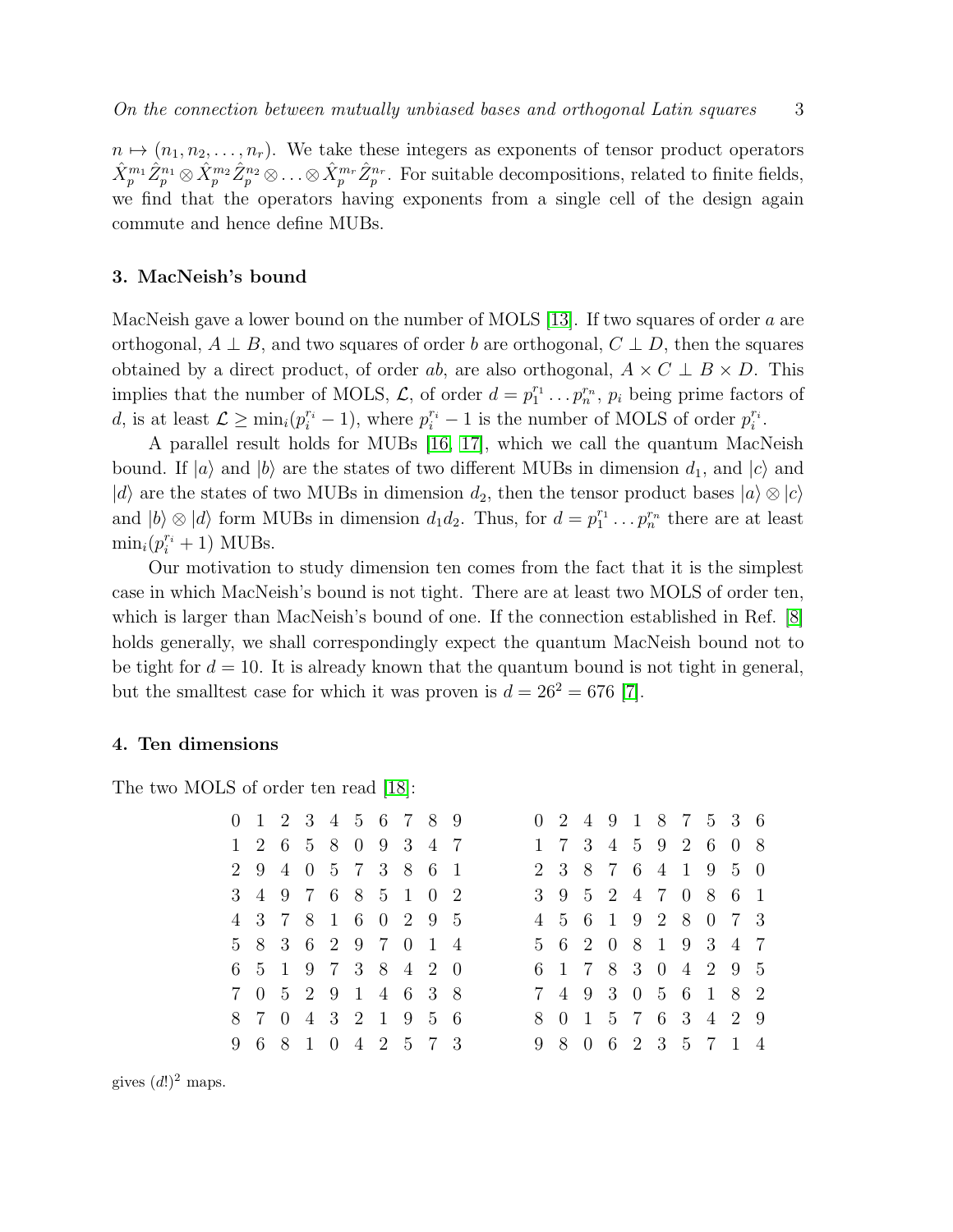$n \mapsto (n_1, n_2, \ldots, n_r)$ . We take these integers as exponents of tensor product operators  $\hat{X}_p^{m_1} \hat{Z}_p^{n_1} \otimes \hat{X}_p^{m_2} \hat{Z}_p^{n_2} \otimes \ldots \otimes \hat{X}_p^{m_r} \hat{Z}_p^{n_r}$ . For suitable decompositions, related to finite fields, we find that the operators having exponents from a single cell of the design again commute and hence define MUBs.

#### 3. MacNeish's bound

MacNeish gave a lower bound on the number of MOLS [\[13\]](#page-5-0). If two squares of order a are orthogonal,  $A \perp B$ , and two squares of order b are orthogonal,  $C \perp D$ , then the squares obtained by a direct product, of order ab, are also orthogonal,  $A \times C \perp B \times D$ . This implies that the number of MOLS,  $\mathcal{L}$ , of order  $d = p_1^{r_1}$  $i_1^{r_1} \ldots p_n^{r_n}$ ,  $p_i$  being prime factors of d, is at least  $\mathcal{L} \ge \min_i (p_i^{r_i} - 1)$ , where  $p_i^{r_i} - 1$  is the number of MOLS of order  $p_i^{r_i}$  $\frac{r_i}{i}$  .

A parallel result holds for MUBs [\[16,](#page-5-3) [17\]](#page-5-4), which we call the quantum MacNeish bound. If  $|a\rangle$  and  $|b\rangle$  are the states of two different MUBs in dimension  $d_1$ , and  $|c\rangle$  and  $|d\rangle$  are the states of two MUBs in dimension  $d_2$ , then the tensor product bases  $|a\rangle \otimes |c\rangle$ and  $|b\rangle \otimes |d\rangle$  form MUBs in dimension  $d_1 d_2$ . Thus, for  $d = p_1^{r_1}$  $x_1^{r_1} \ldots p_n^{r_n}$  there are at least  $\min_i(p_i^{r_i} + 1)$  MUBs.

Our motivation to study dimension ten comes from the fact that it is the simplest case in which MacNeish's bound is not tight. There are at least two MOLS of order ten, which is larger than MacNeish's bound of one. If the connection established in Ref. [\[8\]](#page-4-7) holds generally, we shall correspondingly expect the quantum MacNeish bound not to be tight for  $d = 10$ . It is already known that the quantum bound is not tight in general, but the smalltest case for which it was proven is  $d = 26^2 = 676$  [\[7\]](#page-4-6).

#### 4. Ten dimensions

The two MOLS of order ten read [\[18\]](#page-5-5):

|  |  | 0 1 2 3 4 5 6 7 8 9 |  |  |  |  |  |  | 0 2 4 9 1 8 7 5 3 6 |  |
|--|--|---------------------|--|--|--|--|--|--|---------------------|--|
|  |  | 1 2 6 5 8 0 9 3 4 7 |  |  |  |  |  |  | 1 7 3 4 5 9 2 6 0 8 |  |
|  |  | 2 9 4 0 5 7 3 8 6 1 |  |  |  |  |  |  | 2 3 8 7 6 4 1 9 5 0 |  |
|  |  | 3 4 9 7 6 8 5 1 0 2 |  |  |  |  |  |  | 3 9 5 2 4 7 0 8 6 1 |  |
|  |  | 4 3 7 8 1 6 0 2 9 5 |  |  |  |  |  |  | 4 5 6 1 9 2 8 0 7 3 |  |
|  |  | 5 8 3 6 2 9 7 0 1 4 |  |  |  |  |  |  | 5 6 2 0 8 1 9 3 4 7 |  |
|  |  | 6 5 1 9 7 3 8 4 2 0 |  |  |  |  |  |  | 6 1 7 8 3 0 4 2 9 5 |  |
|  |  | 7 0 5 2 9 1 4 6 3 8 |  |  |  |  |  |  | 7 4 9 3 0 5 6 1 8 2 |  |
|  |  | 8 7 0 4 3 2 1 9 5 6 |  |  |  |  |  |  | 8 0 1 5 7 6 3 4 2 9 |  |
|  |  | 9 6 8 1 0 4 2 5 7 3 |  |  |  |  |  |  | 9 8 0 6 2 3 5 7 1 4 |  |

gives  $(d!)^2$  maps.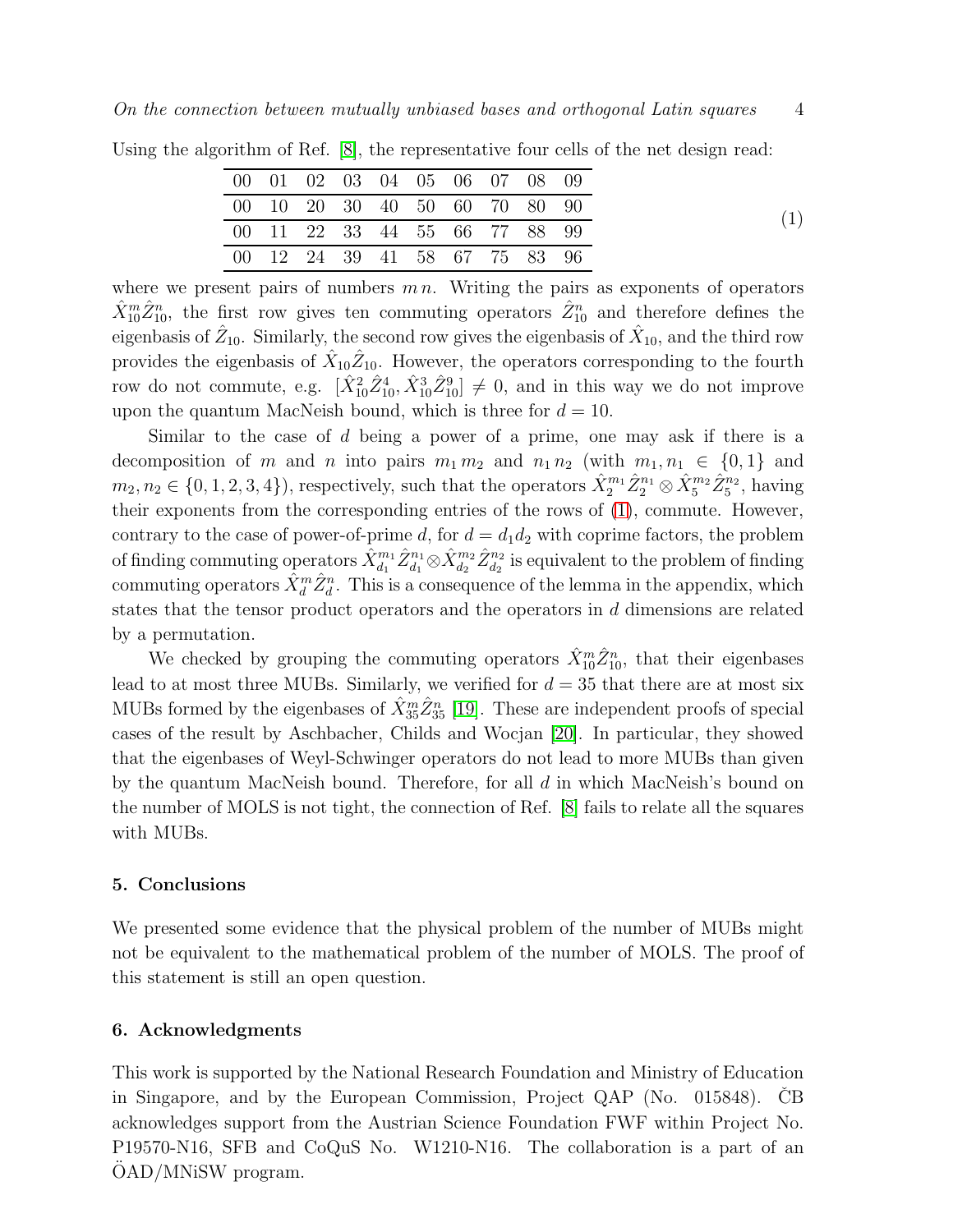<span id="page-3-0"></span>

|  |  |  |  | 00 01 02 03 04 05 06 07 08 09 |  |
|--|--|--|--|-------------------------------|--|
|  |  |  |  | 00 10 20 30 40 50 60 70 80 90 |  |
|  |  |  |  | 00 11 22 33 44 55 66 77 88 99 |  |
|  |  |  |  | 00 12 24 39 41 58 67 75 83 96 |  |

Using the algorithm of Ref. [\[8\]](#page-4-7), the representative four cells of the net design read:

where we present pairs of numbers  $m n$ . Writing the pairs as exponents of operators  $\hat{X}_{10}^m \hat{Z}_{10}^n$ , the first row gives ten commuting operators  $\hat{Z}_{10}^n$  and therefore defines the eigenbasis of  $\hat{Z}_{10}$ . Similarly, the second row gives the eigenbasis of  $\hat{X}_{10}$ , and the third row provides the eigenbasis of  $\hat{X}_{10}\hat{Z}_{10}$ . However, the operators corresponding to the fourth row do not commute, e.g.  $[\hat{X}_{10}^2 \hat{Z}_{10}^4, \hat{X}_{10}^3 \hat{Z}_{10}^9] \neq 0$ , and in this way we do not improve upon the quantum MacNeish bound, which is three for  $d = 10$ .

Similar to the case of d being a power of a prime, one may ask if there is a decomposition of m and n into pairs  $m_1 m_2$  and  $n_1 n_2$  (with  $m_1, n_1 \in \{0, 1\}$  and  $m_2, n_2 \in \{0, 1, 2, 3, 4\}$ , respectively, such that the operators  $\hat{X}_2^{m_1} \hat{Z}_2^{n_1} \otimes \hat{X}_5^{m_2} \hat{Z}_5^{n_2}$ , having their exponents from the corresponding entries of the rows of [\(1\)](#page-3-0), commute. However, contrary to the case of power-of-prime d, for  $d = d_1 d_2$  with coprime factors, the problem of finding commuting operators  $\hat{X}_{d_1}^{m_1} \hat{Z}_{d_1}^{n_1} \otimes \hat{X}_{d_2}^{m_2} \hat{Z}_{d_2}^{n_2}$  is equivalent to the problem of finding commuting operators  $\hat{X}_d^m \hat{Z}_d^n$ . This is a consequence of the lemma in the appendix, which states that the tensor product operators and the operators in d dimensions are related by a permutation.

We checked by grouping the commuting operators  $\hat{X}_{10}^{m}\hat{Z}_{10}^{n}$ , that their eigenbases lead to at most three MUBs. Similarly, we verified for  $d = 35$  that there are at most six MUBs formed by the eigenbases of  $\hat{X}_{35}^{m}\hat{Z}_{35}^{n}$  [\[19\]](#page-5-6). These are independent proofs of special cases of the result by Aschbacher, Childs and Wocjan [\[20\]](#page-5-7). In particular, they showed that the eigenbases of Weyl-Schwinger operators do not lead to more MUBs than given by the quantum MacNeish bound. Therefore, for all  $d$  in which MacNeish's bound on the number of MOLS is not tight, the connection of Ref. [\[8\]](#page-4-7) fails to relate all the squares with MUBs.

#### 5. Conclusions

We presented some evidence that the physical problem of the number of MUBs might not be equivalent to the mathematical problem of the number of MOLS. The proof of this statement is still an open question.

#### 6. Acknowledgments

This work is supported by the National Research Foundation and Ministry of Education in Singapore, and by the European Commission, Project QAP (No.  $015848$ ). CB acknowledges support from the Austrian Science Foundation FWF within Project No. P19570-N16, SFB and CoQuS No. W1210-N16. The collaboration is a part of an OAD/MNiSW program.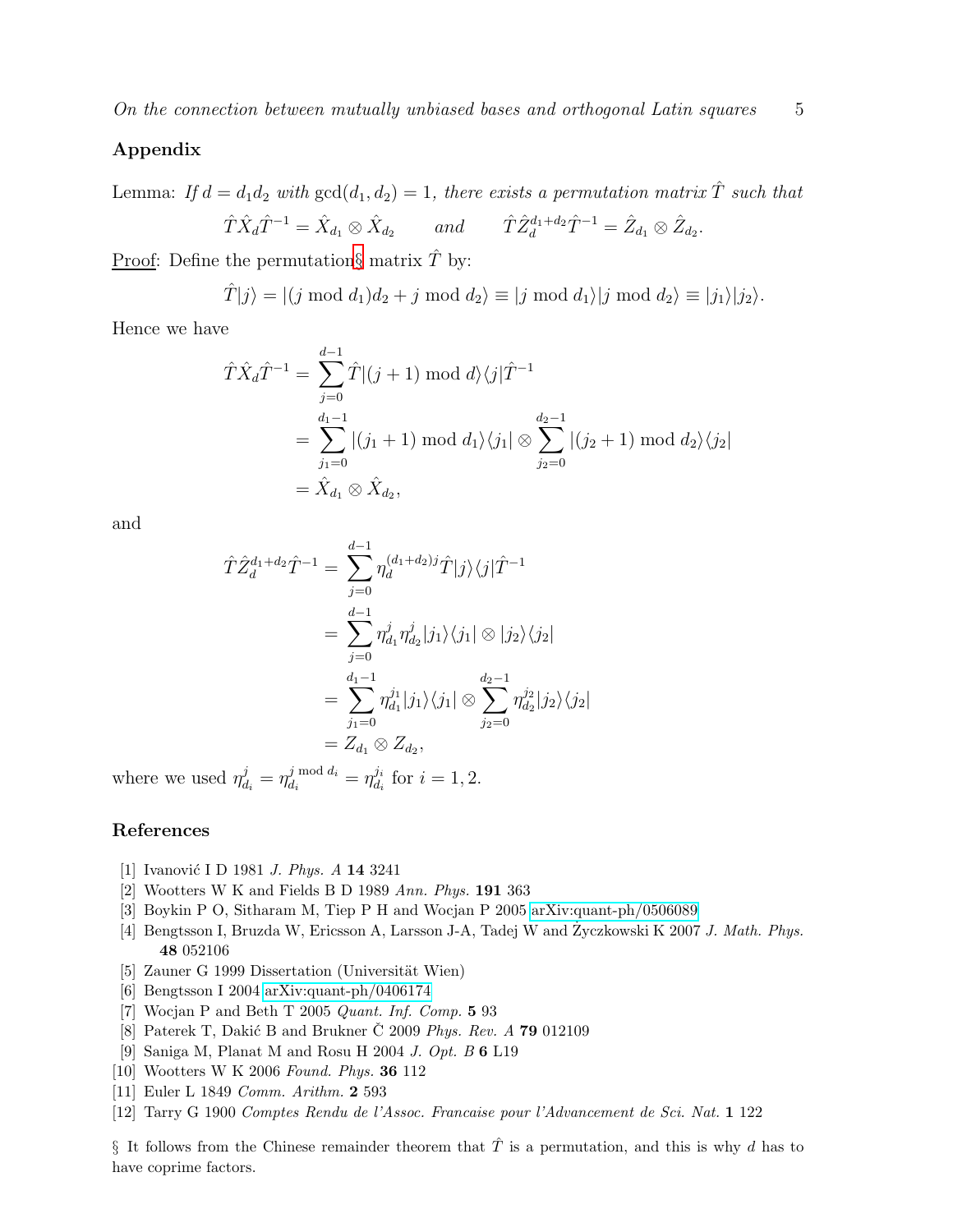## Appendix

Lemma: If  $d = d_1 d_2$  with  $gcd(d_1, d_2) = 1$ , there exists a permutation matrix  $\hat{T}$  such that

$$
\hat{T}\hat{X}_d\hat{T}^{-1} = \hat{X}_{d_1} \otimes \hat{X}_{d_2} \quad \text{and} \quad \hat{T}\hat{Z}_d^{d_1+d_2}\hat{T}^{-1} = \hat{Z}_{d_1} \otimes \hat{Z}_{d_2}.
$$

<u>Proof</u>: Define the permutation[§](#page-4-12) matrix  $\hat{T}$  by:

$$
\hat{T}|j\rangle = |(j \mod d_1)d_2 + j \mod d_2\rangle \equiv |j \mod d_1\rangle |j \mod d_2\rangle \equiv |j_1\rangle |j_2\rangle.
$$

Hence we have

$$
\hat{T}\hat{X}_d\hat{T}^{-1} = \sum_{j=0}^{d-1} \hat{T}|(j+1) \mod d\rangle\langle j|\hat{T}^{-1}
$$
  
= 
$$
\sum_{j_1=0}^{d_1-1} |(j_1+1) \mod d_1\rangle\langle j_1| \otimes \sum_{j_2=0}^{d_2-1} |(j_2+1) \mod d_2\rangle\langle j_2|
$$
  
= 
$$
\hat{X}_{d_1} \otimes \hat{X}_{d_2},
$$

and

$$
\hat{T}\hat{Z}_{d}^{d_1+d_2}\hat{T}^{-1} = \sum_{j=0}^{d-1} \eta_{d}^{(d_1+d_2)j}\hat{T}|j\rangle\langle j|\hat{T}^{-1}
$$
  
\n
$$
= \sum_{j=0}^{d-1} \eta_{d_1}^j \eta_{d_2}^j|j_1\rangle\langle j_1| \otimes |j_2\rangle\langle j_2|
$$
  
\n
$$
= \sum_{j_1=0}^{d_1-1} \eta_{d_1}^{j_1}|j_1\rangle\langle j_1| \otimes \sum_{j_2=0}^{d_2-1} \eta_{d_2}^{j_2}|j_2\rangle\langle j_2|
$$
  
\n
$$
= Z_{d_1} \otimes Z_{d_2},
$$

where we used  $\eta_d^j$  $d_i^j = \eta_{d_i}^{j \bmod d_i}$  $\frac{j \bmod d_i}{d_i} = \eta_{d_i}^{j_i}$  $\frac{\jmath_i}{d_i}$  for  $i=1,2$ .

### <span id="page-4-0"></span>References

- <span id="page-4-1"></span>[1] Ivanović I D 1981 *J. Phys. A* **14** 3241
- <span id="page-4-2"></span>[2] Wootters W K and Fields B D 1989 Ann. Phys. 191 363
- <span id="page-4-3"></span>[3] Boykin P O, Sitharam M, Tiep P H and Wocjan P 2005 [arXiv:quant-ph/0506089](http://arxiv.org/abs/quant-ph/0506089)
- <span id="page-4-4"></span>[4] Bengtsson I, Bruzda W, Ericsson A, Larsson J-A, Tadej W and Zyczkowski K 2007 J. Math. Phys. 48 052106
- <span id="page-4-5"></span>[5] Zauner G 1999 Dissertation (Universität Wien)
- <span id="page-4-6"></span>[6] Bengtsson I 2004 [arXiv:quant-ph/0406174](http://arxiv.org/abs/quant-ph/0406174)
- <span id="page-4-7"></span>[7] Wocjan P and Beth T 2005 Quant. Inf. Comp. 5 93
- <span id="page-4-8"></span>[8] Paterek T, Dakić B and Brukner  $\check{C}$  2009 *Phys. Rev. A* **79** 012109
- <span id="page-4-9"></span>[9] Saniga M, Planat M and Rosu H 2004 J. Opt. B 6 L19
- <span id="page-4-10"></span>[10] Wootters W K 2006 Found. Phys. 36 112
- <span id="page-4-11"></span>[11] Euler L 1849 *Comm. Arithm.* 2 593
- [12] Tarry G 1900 Comptes Rendu de l'Assoc. Francaise pour l'Advancement de Sci. Nat. 1 122

<span id="page-4-12"></span>§ It follows from the Chinese remainder theorem that  $\hat{T}$  is a permutation, and this is why d has to have coprime factors.